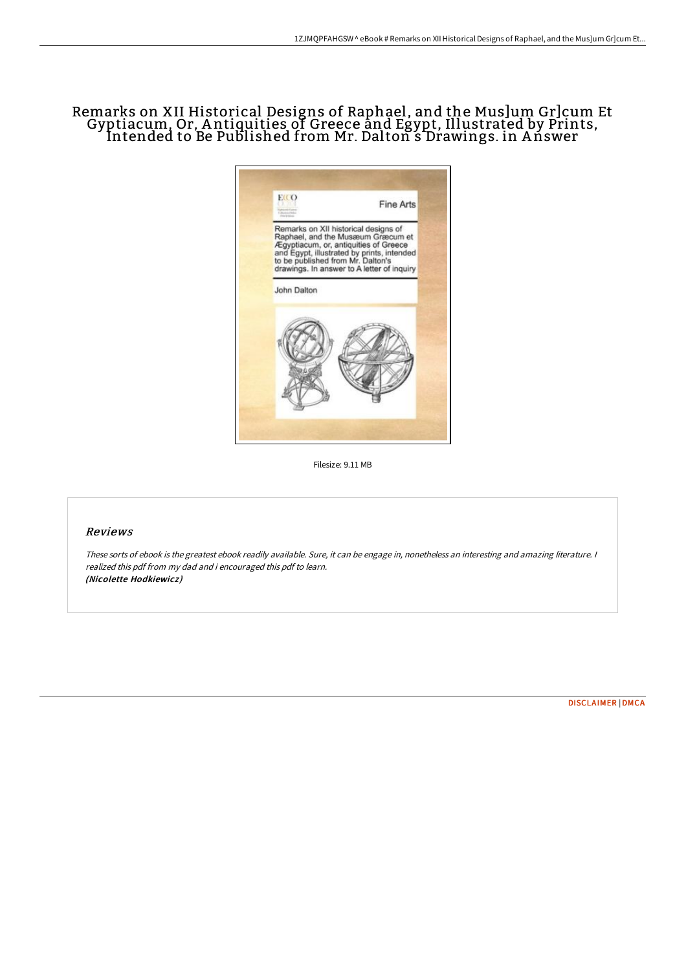# Remarks on XII Historical Designs of Raphael, and the Mus]um Gr]cum Et Gyptiacum, Or, A ntiquities of Greece and Egypt, Illustrated by Prints, Intended to Be Published from Mr. Dalton s Drawings. in Ańswer



Filesize: 9.11 MB

#### Reviews

These sorts of ebook is the greatest ebook readily available. Sure, it can be engage in, nonetheless an interesting and amazing literature. <sup>I</sup> realized this pdf from my dad and i encouraged this pdf to learn. (Nicolette Hodkiewicz )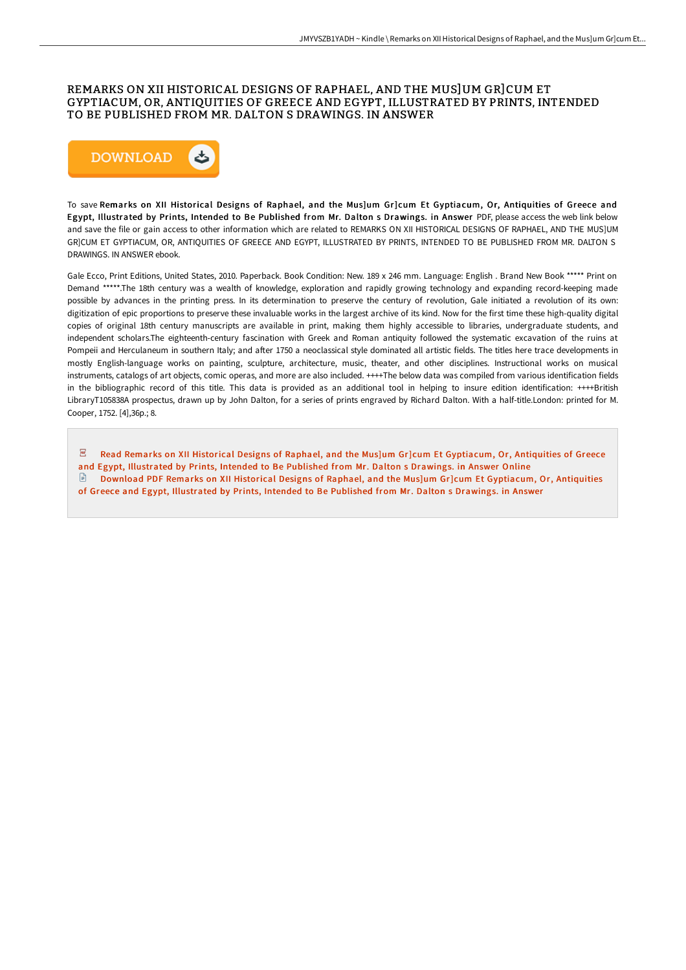## REMARKS ON XII HISTORICAL DESIGNS OF RAPHAEL, AND THE MUS]UM GR]CUM ET GYPTIACUM, OR, ANTIQUITIES OF GREECE AND EGYPT, ILLUSTRATED BY PRINTS, INTENDED TO BE PUBLISHED FROM MR. DALTON S DRAWINGS. IN ANSWER



To save Remarks on XII Historical Designs of Raphael, and the Mus]um Gr]cum Et Gyptiacum, Or, Antiquities of Greece and Egypt, Illustrated by Prints, Intended to Be Published from Mr. Dalton s Drawings. in Answer PDF, please access the web link below and save the file or gain access to other information which are related to REMARKS ON XII HISTORICAL DESIGNS OF RAPHAEL, AND THE MUS]UM GR]CUM ET GYPTIACUM, OR, ANTIQUITIES OF GREECE AND EGYPT, ILLUSTRATED BY PRINTS, INTENDED TO BE PUBLISHED FROM MR. DALTON S DRAWINGS. IN ANSWER ebook.

Gale Ecco, Print Editions, United States, 2010. Paperback. Book Condition: New. 189 x 246 mm. Language: English . Brand New Book \*\*\*\*\* Print on Demand \*\*\*\*\*.The 18th century was a wealth of knowledge, exploration and rapidly growing technology and expanding record-keeping made possible by advances in the printing press. In its determination to preserve the century of revolution, Gale initiated a revolution of its own: digitization of epic proportions to preserve these invaluable works in the largest archive of its kind. Now for the first time these high-quality digital copies of original 18th century manuscripts are available in print, making them highly accessible to libraries, undergraduate students, and independent scholars.The eighteenth-century fascination with Greek and Roman antiquity followed the systematic excavation of the ruins at Pompeii and Herculaneum in southern Italy; and after 1750 a neoclassical style dominated all artistic fields. The titles here trace developments in mostly English-language works on painting, sculpture, architecture, music, theater, and other disciplines. Instructional works on musical instruments, catalogs of art objects, comic operas, and more are also included. ++++The below data was compiled from various identification fields in the bibliographic record of this title. This data is provided as an additional tool in helping to insure edition identification: ++++British LibraryT105838A prospectus, drawn up by John Dalton, for a series of prints engraved by Richard Dalton. With a half-title.London: printed for M. Cooper, 1752. [4],36p.; 8.

 $\overline{\mathsf{pos}}$ Read Remarks on XII Historical Designs of Raphael, and the Mus]um Gr]cum Et [Gyptiacum,](http://techno-pub.tech/remarks-on-xii-historical-designs-of-raphael-and.html) Or, Antiquities of Greece and Egypt, Illustrated by Prints, Intended to Be Published from Mr. Dalton s Drawings. in Answer Online Download PDF Remarks on XII Historical Designs of Raphael, and the Mus]um Gr]cum Et [Gyptiacum,](http://techno-pub.tech/remarks-on-xii-historical-designs-of-raphael-and.html) Or, Antiquities of Greece and Egypt, Illustrated by Prints, Intended to Be Published from Mr. Dalton s Drawings. in Answer